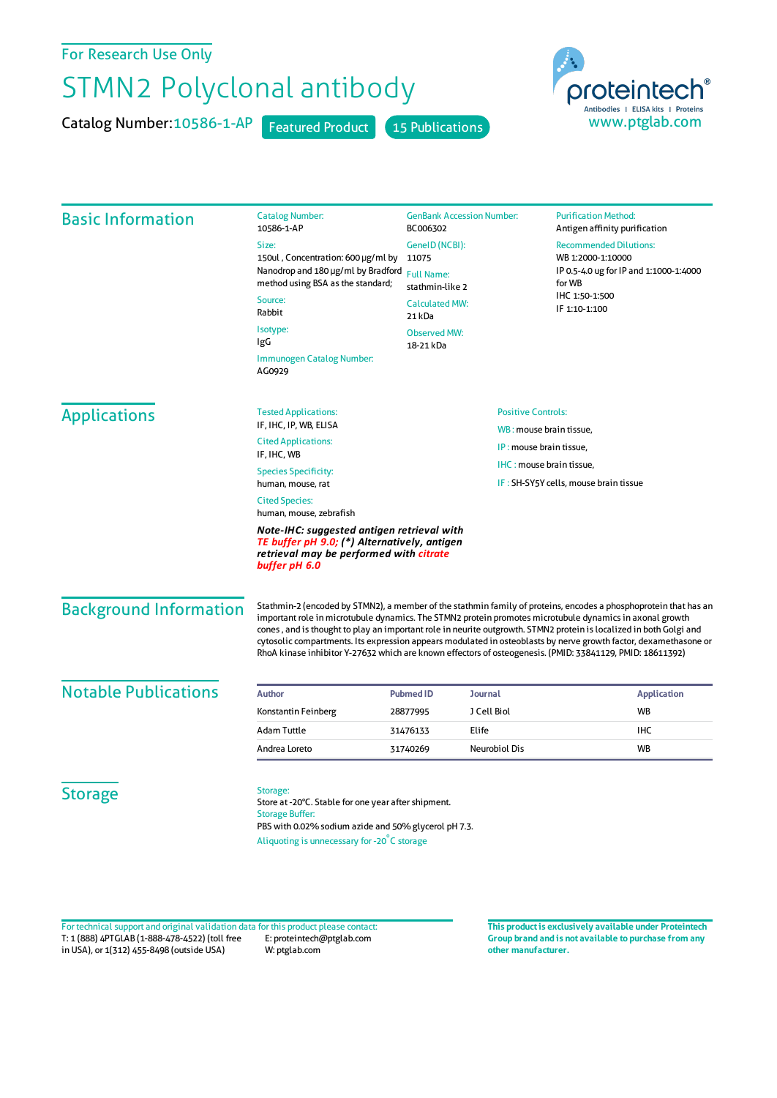## For Research Use Only

## STMN2 Polyclonal antibody

Catalog Number: 10586-1-AP Featured Product 15 Publications



| <b>Basic Information</b>                                                                                                                                                                                   | <b>Catalog Number:</b><br>10586-1-AP                                                                                                                                                             | <b>GenBank Accession Number:</b><br>BC006302<br>GeneID (NCBI):<br>11075<br><b>Full Name:</b><br>stathmin-like 2<br><b>Calculated MW:</b><br>21 kDa |                                                                   | <b>Purification Method:</b><br>Antigen affinity purification                                                                              |                                                                                                                                                                                                                                                                                                                                                                                                                                                                                                                                                                                     |
|------------------------------------------------------------------------------------------------------------------------------------------------------------------------------------------------------------|--------------------------------------------------------------------------------------------------------------------------------------------------------------------------------------------------|----------------------------------------------------------------------------------------------------------------------------------------------------|-------------------------------------------------------------------|-------------------------------------------------------------------------------------------------------------------------------------------|-------------------------------------------------------------------------------------------------------------------------------------------------------------------------------------------------------------------------------------------------------------------------------------------------------------------------------------------------------------------------------------------------------------------------------------------------------------------------------------------------------------------------------------------------------------------------------------|
|                                                                                                                                                                                                            | Size:                                                                                                                                                                                            |                                                                                                                                                    |                                                                   | <b>Recommended Dilutions:</b><br>WB 1:2000-1:10000<br>IP 0.5-4.0 ug for IP and 1:1000-1:4000<br>for WB<br>IHC 1:50-1:500<br>IF 1:10-1:100 |                                                                                                                                                                                                                                                                                                                                                                                                                                                                                                                                                                                     |
|                                                                                                                                                                                                            | 150ul, Concentration: 600 µg/ml by<br>Nanodrop and 180 µg/ml by Bradford<br>method using BSA as the standard;                                                                                    |                                                                                                                                                    |                                                                   |                                                                                                                                           |                                                                                                                                                                                                                                                                                                                                                                                                                                                                                                                                                                                     |
|                                                                                                                                                                                                            |                                                                                                                                                                                                  |                                                                                                                                                    |                                                                   |                                                                                                                                           | Source:<br>Rabbit                                                                                                                                                                                                                                                                                                                                                                                                                                                                                                                                                                   |
|                                                                                                                                                                                                            | Isotype:<br>IgG                                                                                                                                                                                  |                                                                                                                                                    |                                                                   |                                                                                                                                           | <b>Observed MW:</b><br>18-21 kDa                                                                                                                                                                                                                                                                                                                                                                                                                                                                                                                                                    |
|                                                                                                                                                                                                            | Immunogen Catalog Number:<br>AG0929                                                                                                                                                              |                                                                                                                                                    |                                                                   |                                                                                                                                           |                                                                                                                                                                                                                                                                                                                                                                                                                                                                                                                                                                                     |
|                                                                                                                                                                                                            | <b>Applications</b>                                                                                                                                                                              | <b>Tested Applications:</b>                                                                                                                        | <b>Positive Controls:</b>                                         |                                                                                                                                           |                                                                                                                                                                                                                                                                                                                                                                                                                                                                                                                                                                                     |
| IF, IHC, IP, WB, ELISA<br><b>Cited Applications:</b>                                                                                                                                                       |                                                                                                                                                                                                  |                                                                                                                                                    | WB: mouse brain tissue,                                           |                                                                                                                                           |                                                                                                                                                                                                                                                                                                                                                                                                                                                                                                                                                                                     |
| IF, IHC, WB                                                                                                                                                                                                |                                                                                                                                                                                                  | IP: mouse brain tissue,                                                                                                                            |                                                                   |                                                                                                                                           |                                                                                                                                                                                                                                                                                                                                                                                                                                                                                                                                                                                     |
| <b>Species Specificity:</b><br>human, mouse, rat                                                                                                                                                           |                                                                                                                                                                                                  |                                                                                                                                                    | IHC: mouse brain tissue,<br>IF: SH-SY5Y cells, mouse brain tissue |                                                                                                                                           |                                                                                                                                                                                                                                                                                                                                                                                                                                                                                                                                                                                     |
| <b>Cited Species:</b><br>human, mouse, zebrafish<br>Note-IHC: suggested antigen retrieval with<br>TE buffer pH 9.0; (*) Alternatively, antigen<br>retrieval may be performed with citrate<br>buffer pH 6.0 |                                                                                                                                                                                                  |                                                                                                                                                    |                                                                   |                                                                                                                                           |                                                                                                                                                                                                                                                                                                                                                                                                                                                                                                                                                                                     |
|                                                                                                                                                                                                            |                                                                                                                                                                                                  |                                                                                                                                                    |                                                                   | <b>Background Information</b>                                                                                                             | Stathmin-2 (encoded by STMN2), a member of the stathmin family of proteins, encodes a phosphoprotein that has an<br>important role in microtubule dynamics. The STMN2 protein promotes microtubule dynamics in axonal growth<br>cones, and is thought to play an important role in neurite outgrowth. STMN2 protein is localized in both Golgi and<br>cytosolic compartments. Its expression appears modulated in osteoblasts by nerve growth factor, dexamethasone or<br>RhoA kinase inhibitor Y-27632 which are known effectors of osteogenesis. (PMID: 33841129, PMID: 18611392) |
| <b>Notable Publications</b>                                                                                                                                                                                | <b>Author</b>                                                                                                                                                                                    | <b>Pubmed ID</b>                                                                                                                                   | Journal                                                           | <b>Application</b>                                                                                                                        |                                                                                                                                                                                                                                                                                                                                                                                                                                                                                                                                                                                     |
|                                                                                                                                                                                                            | Konstantin Feinberg                                                                                                                                                                              | 28877995                                                                                                                                           | J Cell Biol                                                       | WB                                                                                                                                        |                                                                                                                                                                                                                                                                                                                                                                                                                                                                                                                                                                                     |
|                                                                                                                                                                                                            | Adam Tuttle                                                                                                                                                                                      | 31476133                                                                                                                                           | Elife                                                             | IHC                                                                                                                                       |                                                                                                                                                                                                                                                                                                                                                                                                                                                                                                                                                                                     |
|                                                                                                                                                                                                            | Andrea Loreto                                                                                                                                                                                    | 31740269                                                                                                                                           | Neurobiol Dis                                                     | <b>WB</b>                                                                                                                                 |                                                                                                                                                                                                                                                                                                                                                                                                                                                                                                                                                                                     |
| <b>Storage</b>                                                                                                                                                                                             | Storage:<br>Store at -20°C. Stable for one year after shipment.<br><b>Storage Buffer:</b><br>PBS with 0.02% sodium azide and 50% glycerol pH 7.3.<br>Aliquoting is unnecessary for -20°C storage |                                                                                                                                                    |                                                                   |                                                                                                                                           |                                                                                                                                                                                                                                                                                                                                                                                                                                                                                                                                                                                     |

T: 1 (888) 4PTGLAB (1-888-478-4522) (toll free in USA), or 1(312) 455-8498 (outside USA) E: proteintech@ptglab.com W: ptglab.com Fortechnical support and original validation data forthis product please contact: **This productis exclusively available under Proteintech**

**Group brand and is not available to purchase from any other manufacturer.**